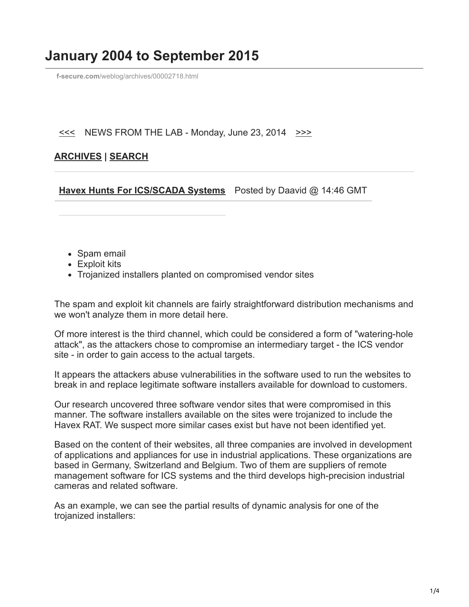# **January 2004 to September 2015**

**f-secure.com**[/weblog/archives/00002718.html](https://www.f-secure.com/weblog/archives/00002718.html)

### $\leq$  NEWS FROM THE LAB - Monday, June 23, 2014  $\geq$

## **[ARCHIVES](https://www.f-secure.com/weblog/archives/) | [SEARCH](https://www.bing.com/search?q=site:f-secure.com/weblog)**

**[Havex Hunts For ICS/SCADA Systems](https://www.f-secure.com/weblog/archives/00002718.html)** Posted by Daavid @ 14:46 GMT

- Spam email
- Exploit kits
- Trojanized installers planted on compromised vendor sites

The spam and exploit kit channels are fairly straightforward distribution mechanisms and we won't analyze them in more detail here.

Of more interest is the third channel, which could be considered a form of "watering-hole attack", as the attackers chose to compromise an intermediary target - the ICS vendor site - in order to gain access to the actual targets.

It appears the attackers abuse vulnerabilities in the software used to run the websites to break in and replace legitimate software installers available for download to customers.

Our research uncovered three software vendor sites that were compromised in this manner. The software installers available on the sites were trojanized to include the Havex RAT. We suspect more similar cases exist but have not been identified yet.

Based on the content of their websites, all three companies are involved in development of applications and appliances for use in industrial applications. These organizations are based in Germany, Switzerland and Belgium. Two of them are suppliers of remote management software for ICS systems and the third develops high-precision industrial cameras and related software.

As an example, we can see the partial results of dynamic analysis for one of the trojanized installers: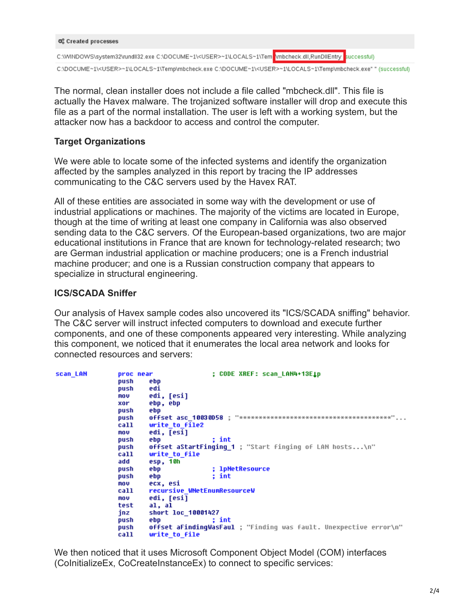```
0% Created processes
C:\WINDOWS\system32\rundll32.exe C:\DOCUME~1\<USER>~1\LOCALS~1\Tem \mbcheck.dll,RunDllEntry successful)
```
C:\DOCUME~1\<USER>~1\LOCALS~1\Temp\mbcheck.exe C:\DOCUME~1\<USER>~1\LOCALS~1\Temp\mbcheck.exe"" (successful)

The normal, clean installer does not include a file called "mbcheck.dll". This file is actually the Havex malware. The trojanized software installer will drop and execute this file as a part of the normal installation. The user is left with a working system, but the attacker now has a backdoor to access and control the computer.

# **Target Organizations**

We were able to locate some of the infected systems and identify the organization affected by the samples analyzed in this report by tracing the IP addresses communicating to the C&C servers used by the Havex RAT.

All of these entities are associated in some way with the development or use of industrial applications or machines. The majority of the victims are located in Europe, though at the time of writing at least one company in California was also observed sending data to the C&C servers. Of the European-based organizations, two are major educational institutions in France that are known for technology-related research; two are German industrial application or machine producers; one is a French industrial machine producer; and one is a Russian construction company that appears to specialize in structural engineering.

## **ICS/SCADA Sniffer**

Our analysis of Havex sample codes also uncovered its "ICS/SCADA sniffing" behavior. The C&C server will instruct infected computers to download and execute further components, and one of these components appeared very interesting. While analyzing this component, we noticed that it enumerates the local area network and looks for connected resources and servers:

| scan LAN | proc near | : CODE XREF: scan LAN4+13E1p                                      |
|----------|-----------|-------------------------------------------------------------------|
|          | push      | ebp                                                               |
|          | push      | edi                                                               |
|          | mov       | edi, [esi]                                                        |
|          | xor       | ebp, ebp                                                          |
|          | push      | ebp                                                               |
|          | push      |                                                                   |
|          | call      | write to file2                                                    |
|          | mov       | edi, [esi]                                                        |
|          | push      | ; int<br>ebp                                                      |
|          |           |                                                                   |
|          | push      | offset aStartFinging 1 ; "Start finging of LAN hosts\n"           |
|          | call      | write to file                                                     |
|          | add       | esp, 10h                                                          |
|          | push      | ; 1pNetResource<br>ebp                                            |
|          | push      | ebp<br>: int                                                      |
|          | mov       | ecx, esi                                                          |
|          | call      | recursive WNetEnumResourceW                                       |
|          | no v      | edi, [esi]                                                        |
|          | test      | al, al                                                            |
|          | inz       | <b>short loc 10001427</b>                                         |
|          | push      | ; int<br>ebp                                                      |
|          | push      | offset aFindingWasFaul ; "Finding was fault. Unexpective error\n" |
|          | call      | write to file                                                     |
|          |           |                                                                   |

We then noticed that it uses Microsoft Component Object Model (COM) interfaces (CoInitializeEx, CoCreateInstanceEx) to connect to specific services: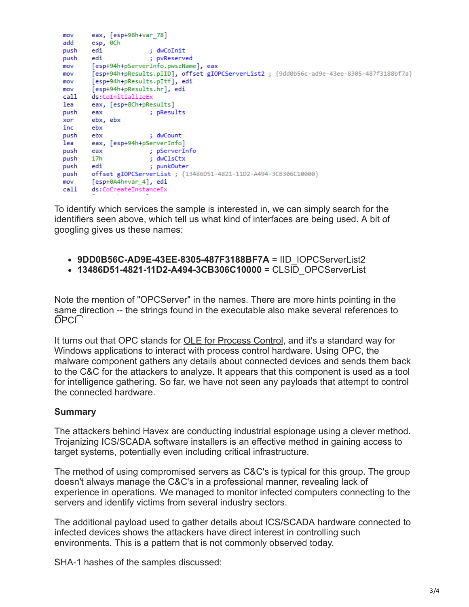```
eax, [esp+98h+var_78]
mov
add
     esp, 0Ch
                          ; dwCoInit
push edi
push edi
                         ; pvReserved
mov [esp+94h+pServerInfo.pwszName], eax
        [esp+94h+pResults.pIID], offset gIOPCServerList2 ; {9dd0b56c-ad9e-43ee-8305-487f3188bf7a}
mov
       [esp+94h+pResults.pItf], edi
mov
        [esp+94h+pResults.hr], edi
mov
call ds:CoInitializeEx
lea
        eax, [esp+8Ch+pResults]
       eax
                     ; pResults
push
        ebx, ebx
xor
inc
       ebx
                   ; dwCount
push ebx
lea eax, [esp+94h+pServerInfo]
push eax ; pServerInfo
push 17h ; dwClsCtx<br>push edi ; punkOuter<br>push edi ; punkOuter<br>push offset gIOPCServerList ; {13486D51-4821-11D2-A494-3CB306C10000}<br>mov [esp+0A4h+var_4], edi<br>call ds:CoCreateInstanceEx
                        ; pserverin<br>; dwClsCtx<br>: nunkOuter
```
To identify which services the sample is interested in, we can simply search for the identifiers seen above, which tell us what kind of interfaces are being used. A bit of googling gives us these names:

- **9DD0B56C-AD9E-43EE-8305-487F3188BF7A** = IID\_IOPCServerList2
- **13486D51-4821-11D2-A494-3CB306C10000** = CLSID\_OPCServerList

Note the mention of "OPCServer" in the names. There are more hints pointing in the same direction -- the strings found in the executable also make several references to  $\bigcirc$ PC $\bigcap$ 

It turns out that OPC stands for **OLE for Process Control**, and it's a standard way for Windows applications to interact with process control hardware. Using OPC, the malware component gathers any details about connected devices and sends them back to the C&C for the attackers to analyze. It appears that this component is used as a tool for intelligence gathering. So far, we have not seen any payloads that attempt to control the connected hardware.

#### **Summary**

The attackers behind Havex are conducting industrial espionage using a clever method. Trojanizing ICS/SCADA software installers is an effective method in gaining access to target systems, potentially even including critical infrastructure.

The method of using compromised servers as C&C's is typical for this group. The group doesn't always manage the C&C's in a professional manner, revealing lack of experience in operations. We managed to monitor infected computers connecting to the servers and identify victims from several industry sectors.

The additional payload used to gather details about ICS/SCADA hardware connected to infected devices shows the attackers have direct interest in controlling such environments. This is a pattern that is not commonly observed today.

SHA-1 hashes of the samples discussed: